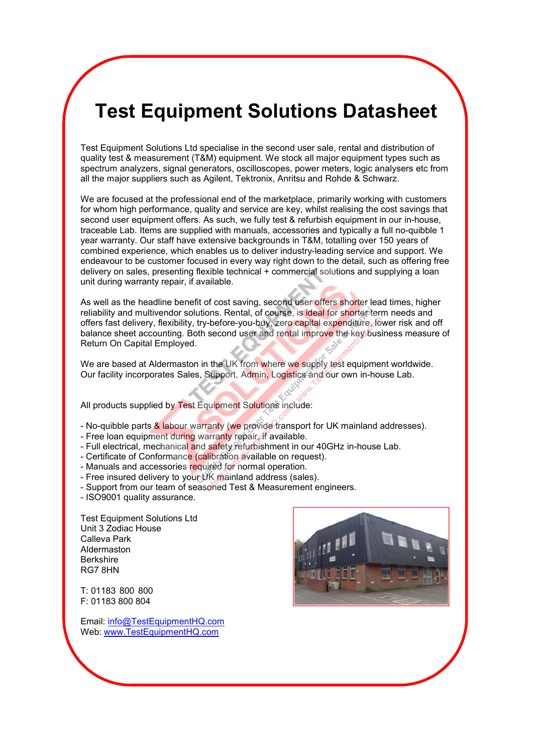# **Test Equipment Solutions Datasheet**

Test Equipment Solutions Ltd specialise in the second user sale, rental and distribution of quality test & measurement (T&M) equipment. We stock all major equipment types such as spectrum analyzers, signal generators, oscilloscopes, power meters, logic analysers etc from all the major suppliers such as Agilent, Tektronix, Anritsu and Rohde & Schwarz.

We are focused at the professional end of the marketplace, primarily working with customers for whom high performance, quality and service are key, whilst realising the cost savings that second user equipment offers. As such, we fully test & refurbish equipment in our in-house, traceable Lab. Items are supplied with manuals, accessories and typically a full no-quibble 1 year warranty. Our staff have extensive backgrounds in T&M, totalling over 150 years of combined experience, which enables us to deliver industry-leading service and support. We endeavour to be customer focused in every way right down to the detail, such as offering free delivery on sales, presenting flexible technical + commercial solutions and supplying a loan unit during warranty repair, if available.

As well as the headline benefit of cost saving, second user offers shorter lead times, higher reliability and multivendor solutions. Rental, of course, is ideal for shorter term needs and offers fast delivery, flexibility, try-before-you-buy, zero capital expenditure, lower risk and off balance sheet accounting. Both second user and rental improve the key business measure of Return On Capital Employed.

We are based at Aldermaston in the UK from where we supply test equipment worldwide. Our facility incorporates Sales, Support, Admin, Logistics and our own in-house Lab.

All products supplied by Test Equipment Solutions include:

- No-quibble parts & labour warranty (we provide transport for UK mainland addresses).
- Free loan equipment during warranty repair, if available.
- Full electrical, mechanical and safety refurbishment in our 40GHz in-house Lab.
- Certificate of Conformance (calibration available on request).
- Manuals and accessories required for normal operation.
- Free insured delivery to your UK mainland address (sales).
- Support from our team of seasoned Test & Measurement engineers.
- ISO9001 quality assurance.

Test Equipment Solutions Ltd Unit 3 Zodiac House Calleva Park Aldermaston Berkshire RG7 8HN

T: 01183 800 800 F: 01183 800 804

Email: info@TestEquipmentHQ.com Web: www.TestEquipmentHQ.com

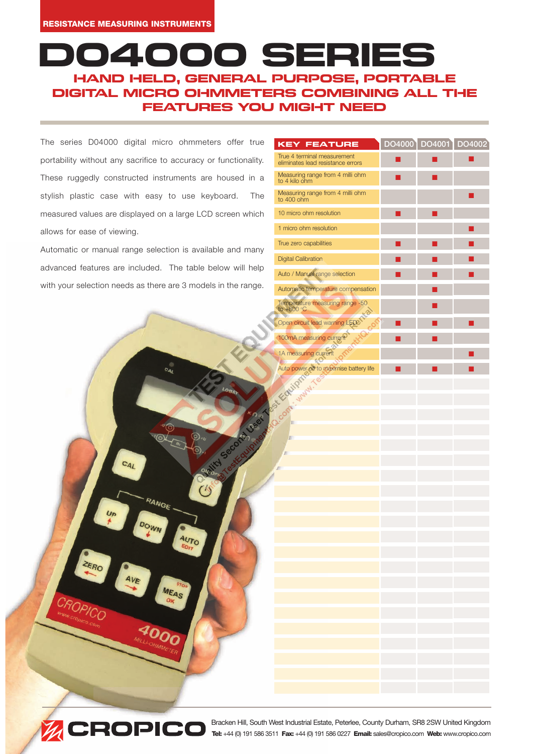## 00 SE HAND HELD, GENERAL PURPOSE, PORTABLE DIGITAL MICRO OHMMETERS COMBINING ALL THE FEATURES YOU MIGHT NEED

The series D04000 digital micro ohmmeters of portability without any sacrifice to accuracy or fun These ruggedly constructed instruments are house stylish plastic case with easy to use keyboar measured values are displayed on a large LCD scre allows for ease of viewing.

Automatic or manual range selection is available a advanced features are included. The table below with your selection needs as there are 3 models in t

RANGE

**AUTO** 

| offer true  | <b>KEY FEATURE</b>                                               |  | DO4000 DO4001 DO4002 |
|-------------|------------------------------------------------------------------|--|----------------------|
| ctionality. | True 4 terminal measurement<br>eliminates lead resistance errors |  |                      |
| ised in a   | Measuring range from 4 milli ohm<br>to 4 kilo ohm                |  |                      |
| rd.<br>The  | Measuring range from 4 milli ohm<br>to 400 ohm                   |  |                      |
| een which   | 10 micro ohm resolution                                          |  |                      |
|             | 1 micro ohm resolution                                           |  |                      |
| and many    | True zero capabilities                                           |  |                      |
|             | <b>Digital Calibration</b>                                       |  |                      |
| will help   | Auto / Manual range selection                                    |  |                      |
| he range.   | Automatic temperature compensation                               |  |                      |
|             | Temperature measuring range -50<br>to $+800^{\circ}$ C           |  |                      |
|             |                                                                  |  |                      |
|             | Company of Second June 1 2014                                    |  |                      |
|             |                                                                  |  |                      |
|             |                                                                  |  |                      |
|             |                                                                  |  |                      |
|             |                                                                  |  |                      |
|             |                                                                  |  |                      |
|             |                                                                  |  |                      |
|             |                                                                  |  |                      |
|             | F                                                                |  |                      |
|             |                                                                  |  |                      |
|             |                                                                  |  |                      |
|             |                                                                  |  |                      |
|             |                                                                  |  |                      |
|             |                                                                  |  |                      |
|             |                                                                  |  |                      |
|             |                                                                  |  |                      |
|             |                                                                  |  |                      |
|             |                                                                  |  |                      |
|             |                                                                  |  |                      |
|             |                                                                  |  |                      |
|             |                                                                  |  |                      |
|             |                                                                  |  |                      |
|             |                                                                  |  |                      |
|             |                                                                  |  |                      |



ZERO

Bracken Hill, South West Industrial Estate, Peterlee, County Durham, SR8 2SW United Kingdom **Tel:** +44 (0) 191 586 3511 **Fax:** +44 (0) 191 586 0227 **Email:** sales@cropico.com **Web:** www.cropico.com